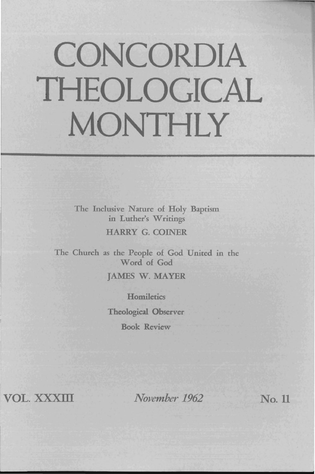# **CONCORDIA THEOLOGICAL MONTHLY**

The Inclusive Nature of Holy Baptism in Luther's Writings HARRY G. COINER

The Church as the People of God United in the Word of God JAMES W. MAYER

> **Homiletics** Theological Observer Book Review

VOL. XXXIII

*November 1962* No. 11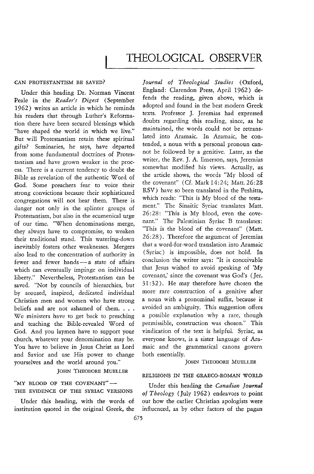#### CAN PROTESTANTISM BE SAVED?

Under this heading Dr. Norman Vincent Peale in the *Reader's Digest* (September 1962) writes an article in which he reminds his readers that through Luther's Reformation there have been secured blessings which "have shaped the world in which we live." But will Protestantism retain these spiritual gifts? Seminaries, he says, have departed from some fundamental doctrines of Protestantism and have grown weaker in the process. There is a current tendency to doubt the Bible as revelation of the authentic Word of God. Some preachers fear to voice their strong convictions because their sophisticated congregations will not hear them. There is danger not only in the splinter groups of Protestantism, but also in the ecumenical urge of our time. "When denominations merge, they always have to compromise, to weaken their traditional stand. This watering-down inevitably fosters other weaknesses. Mergers also lead to the concentration of authority in fewer and fewer hands - a state of affairs which can eventually impinge on individual liberty." Nevertheless, Protestantism can be saved. "Not by councils of hierarchies, but by aroused, inspired, dedicated individual Christian men and women who have strong beliefs and are not ashamed of them. . . . We ministers have to get back to preaching and teaching the Bible-revealed Word of God. And you laymen have to support your church, whatever your denomination may be. You have to believe in Jesus Christ as Lord and Savior and use His power to change yourselves and the world around you."

JOHN THEODORE MUELLER

"MY BLOOD OF THE COVENANT"-THE EVIDENCE OF THE SYRlAC VERSIONS

institution quoted in the original Greek, the influenced, as by other factors of the pagan

*Journal of Theological Studies* (Oxford, England: Clarendon Press, April 1962) defends the reading, given above, which is adopted and found in the best modern Greek texts. Professor J. Jeremias had expressed doubts regarding this reading, since, as he maintained, the words could not be retranslated into Aramaic. In Aramaic, he contended, a noun with a personal pronoun cannot be followed by a genitive. Later, as the writer, the Rev. J. A. Emerson, says, Jeremias somewhat modified his views. Actually, as the article shows, the words "My blood of the covenant" (Cf. Mark 14:24; Matt. 26:28 RSV) have so been translated in the Peshitta, which reads: "This is My blood of the testament." The Sinaitic Syriac translates Matt, 26: 28: "This is My blood, even the covenant." The Palestinian Syriac B translates: "This is the blood of the covenant" (Matt. 26:28). Therefore the argument of Jeremias that a word-for-word translation into Aramaic (Syriac) is impossible, does not hold. In conclusion the writer says: "It is conceivable that Jesus wished to avoid speaking of 'My covenant,' since the covenant was God's (Jer. 31: 32). He may therefore have chosen the more rare construction of a genitive after a noun with a pronominal suffix, because **it**  avoided an ambiguity. This suggestion offers a possible explanation why a rare, though permissible, construction was chosen." This vindication of the text is helpful. Syriac, as everyone knows, is a sister language of Aramaic and the grammatical canons govern both essentially.

#### JOHN THEODORE MUELLER

## RELIGIONS IN THE GRAECO-ROMAN WORLD

Under this heading the *Canadian Journal of Theology* (July 1962) endeavors to point Under this heading, with the words of out how the earlier Christian apologists were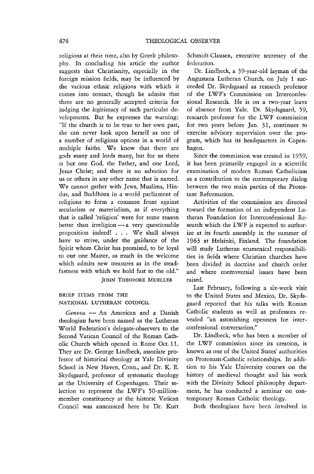religions at their time, also by Greek philosophy. In concluding his article the author suggests that Christianity, especially in the foreign mission fields, may be influenced by the various ethnic religions with which *it*  comes into contact, though he admits that there are no generally accepted criteria for judging the legitimacy of such particular developments. But he expresses the warning: "If the church is to be true to her own past, she can never look upon herself as one of a number of religious options in a world of multiple faiths. We know that there are gods many and lords many, but for us there is but one God, the Father, and one Lord, Jesus Christ; and there is no salvation for us or others in any other name that is named. We cannot gather with Jews, Muslims, Hindus, and Buddhists in a world parliament of religions to form a common front against secularism or materialism, as if everything that is called 'religion' were for some reason better than irreligion  $-a$  very questionable proposition indeed! . . . We shall always have to strive, under the guidance of the Spirit whom Christ has promised, to be loyal to our one Master, as much in the welcome which admits new treasures as in the steadfastness with which we hold fast to the old."

JOHN THEODORE MUELLER

### BRIEF ITEMS FROM THE NATIONAL LUTHERAN COUNCIL

Geneva. - An American and a Danish theologian have been named as the Lutheran World Federation's delegate-observers to the Second Vatican Council of the Roman Catholic Church which opened in Rome Oct. 11. They are Dr. George Lindbeck, associate professor of historical theology at Yale Divinity School in New Haven, Conn., and Dr. K. E. Skydsgaard, professor of systematic theology at the University of Copenhagen. Their selection to represent the LWF's 50-millionmember constituency at the historic Vatican Council was announced here by Dr. Kurt Schmidt-Clausen, executive secretary of the federation.

Dr. Lindbeck, a 39-year-old layman of the Augustana Lutheran Church, on July 1 succeeded Dr. Skydsgaard as research professor of the LWF's Commission on Interconfessional Research. He is on a two· year leave of absence from Yale. Dr. Skydsgaard, 59, research professor for the LWF commission for two years before Jan. 31, continues to exercise advisory supervision over the program, which has its headquarters in Copenhagen.

Since the commission was created in 1959, it has been primarily engaged in a scientific examination of modern Roman Catholicism as a contribution to the contemporary dialog between the two main parties of the Protestant Reformation.

Activities of the commission are directed toward the formation of an independent Lutheran Foundation for Interconfessional Research which the LWF is expected to authorize at its fourth assembly in the summer of 1963 at Helsinki, Finland. The foundation wlll study Lutheran ecumenical responsibilities in fields where Christian churches have been divided in doctrine and church order and where controversial issues have been raised.

Last February, following a six-week visit to the United States and Mexico, Dr. Skydsgaard reported that his talks with Roman Catholic students as well as professors revealed "an astonishing openness for interconfessional conversation."

Dr. Lindbeck, who has been a member of the LWF commission since its creation, is known as one of the United States' authorities on Protestant-Catholic relationships. In addition to his Yale University courses on the history of medieval thought and his work with the Divinity School philosophy department, he has conducted a seminar on contemporary Roman Catholic theology.

Both theologians have been involved in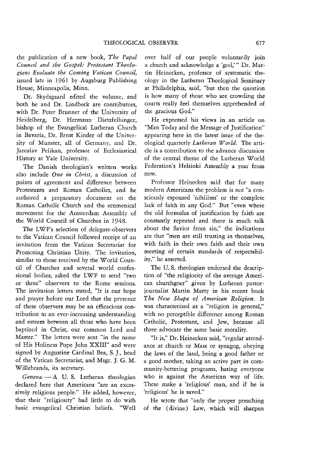the publication of a new book, *The Papal Council and the Gospel: Protestant T heologians Evaluate the Coming Vatican Council,*  issued late in 1961 by Augsburg Publishing House, Minneapolis, Minn.

Dr. Skydsgaard edited the volume, and both he and Dr. Lindbeck are contributors, with Dr. Peter Brunner of the University of Heidelberg, Dr. Hermann Dietzfelbinger, bishop of the Evangelical Lutheran Church in Bavaria, Dr. Ernst Kinder of the University of Munster, all of Germany, and Dr. Jaroslav Pelikan, professor of Ecclesiastical History at Yale University.

The Danish theologian's written works also include *One in Christ,* a discussion of points of agreement and difference between Protestants and Roman Catholics, and he authored a preparatory document on the Roman Catholic Church and the ecumenical movement for the Amsterdam Assembly of the World Council of Churches in 1948.

The LWF's selection of delegate-observers to the Vatican Council followed receipt of an invitation from the Vatican Secretariat for Promoting Christian Unity. The invitation, similar to those received by the World Council of Churches and several world confessional bodies, asked the LWF to send "two or three" observers to the Rome sessions. The invitation letters stated, "It is our hope and prayer before our Lord that the presence of these observers may be an efficacious contribution to an ever-increasing understanding and esteem between all those who have been baptized in Christ, our common Lord and Master." The letters were sent "in the name of *His* Holiness Pope John XXIII" and were signed by Augustine Cardinal Bea, S.]., head of the Vatican Secretariat, and Msgr. J. G. M. Willebrands, its secretary.

Geneva. - A U. S. Lutheran theologian declared here that Americans "are an excessively religious people." He added, however, that their "religiosity" had little to do with basic evangelical Christian beliefs. "Well over half of our people voluntarily Jom a church and acknowledge a 'god,'" Dr. Martin Heinecken, professor of systematic theology in the Lutheran Theological Seminary at Philadelphia, said, "but then the question is how many of those who are crowding the courts really feel themselves apprehended of the gracious God."

He expressed his views in an article on "Man Today and the Message of Justification" appearing here in the latest issue of the theological quarterly *Lutheran World.* The article is a contribution to the advance discussion of the central theme of the Lutheran World Federation's Helsinki Assembly a year from now.

Professor Heinecken said that for many modern Americans the problem *is* not "a consciously espoused 'nihilism' or the complete lack of faith in any God." But "even where the old formulas of justification by faith are constantly repeated and there is much talk about the Savior from sin," the indications are that "men are still trusting in themselves, with faith in their own faith and their own meeting of certain standards of respectability," he asserted.

The U. S. theologian endorsed the description of "the religiosity of the average American churchgoer" given by Lutheran pastorjournalist Martin Marty in his recent book *The New Shape of American Religion.* It was characterized as a "religion in general," with no perceptible difference among Roman C3tholic, Protestant, and Jew, because all three advocate the same basic morality.

"It is," Dr. Heinecken said, "regular attendance at church or Mass or synagog, obeying the laws of the land, being a good father or a good mother, taking an active part in community-bettering programs, hating everyone who is against the American way of life. These make a 'religious' man, and if he is 'religious' he is saved."

He wrote that "only the proper preaching of the (divine) Law, which will sharpen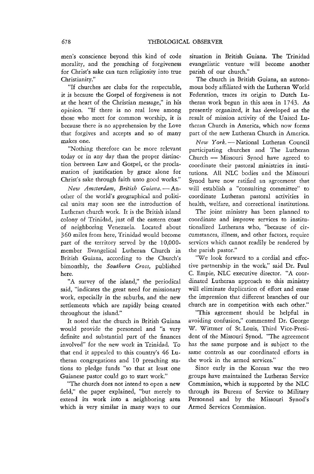men's conscience beyond this kind of code morality, and the preaching of forgiveness for Christ's sake can turn religiosity into true Christianity."

"If churches are clubs for the respectable, it is because the Gospel of forgiveness is not at the heart of the Christian message," in his opinion. "If there is no real love among those who meet for common worship, it is because there is no apprehension by the Love that forgives and accepts and so of many makes one.

"Nothing therefore can be more relevant today or in any day than the proper distinction between Law and Gospel, or the proclamation of justification by grace alone for Christ's sake through faith unto good works."

New Amsterdam, British Guiana. - Another of the world's geographical and political units may soon see the introduction of Lutheran church work. It is the British island colony of Trinidad, just off the eastern coast of neighboring Venezuela. Located about 360 miles from here, Trinidad would become part of the territory served by the 10,000 member Evangelical Lutheran Church in British Guiana, according to the Church's bimonthly, the *Southern Cross,* published here.

"A survey of the island," the periodical said, "indicates the great need for missionary work, especially in the suburbs, and the new settlements which are rapidly being created throughout the island."

It noted that the church in British Guiana would provide the personnel and "a very definite and substantial part of the finances involved" for the new work in Trinidad. To that end it appealed to this country's 46 Lutheran congregations and 10 preaching stations to pledge funds "so that at least one Guianese pastor could go to start work."

"The church does not intend to open a new field," the paper explained, "but merely to extend its work into a neighboring area which is very similar in many ways to our situation in British Guiana. The Trinidad evangelistic venture will become another parish of our church."

The church in British Guiana, an autonomous body affiliated with the Lutheran World Federation, traces its origin to Dutch Lutheran work begun in this area in 1743. As presently organized, it has developed as the result of mission activity of the United Lutheran Church in America, which now forms part of the new Lutheran Church in America.

*New* York.-National Lutheran Council participating churches and The Lutheran Church - Missouri Synod have agreed to coordinate their pastoral ministries in institutions. All NLC bodies and the Missouri Synod have now ratified an agreement that will establish a "consulting committee" to coordinate Lutheran pastoral activities in health, welfare, and correctional institutions.

The joint ministry has been planned to coordinate and improve services to institutionalized Lutherans who, "because of circumstances, illness, and other factors, require services which cannot readily be rendered by the parish pastor."

"We look forward to a cordial and effective partnership in the work," said Dr. Paul C. Empie, NLC executive director. "A coordinated Lutheran approach to this ministry will eliminate duplication of effort and erase the impression that different branches of our church are in competition with each other."

"This agreernent should be helpful in avoiding confusion," commented Dr. George W. Wittmer of St. Louis, Third Vice-President of the Missouri Synod. "The agreement has the same purpose and is subject to the same controls as our coordinated efforts in the work in the armed services."

Since early in the Korean war the two groups have maintained the Lutheran Service Commission, which is supported by the NLC through its Bureau of Service to Military Personnel and by the Missouri Synod's Armed Services Commission.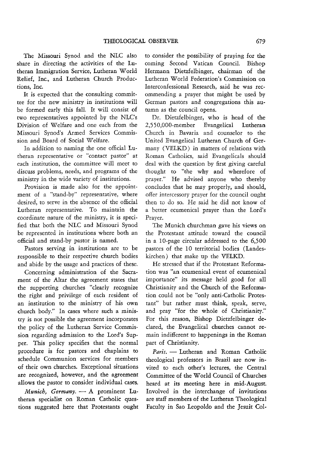The Missouri Synod and the NLC also share in directing the activities of the Lutheran Immigration Service, Lutheran Worid Relief, Inc., and Lutheran Church Productions, Inc.

It is expected that the consulting committee for the new ministry in institutions will be formed early this fall. It will consist of two representatives appointed by the NLC's Division of Welfare and one each from the Missouri Synod's Armed Services Commission and Board of Social Welfare.

In addition to naming the one official Lutheran representative or "contact pastor" at each institution, the committee will meet to discuss problems, needs, and programs of the ministry in the wide variety of institutions.

Provision is made also for the appointment of a "stand-by" representative, where desired, to serve in the absence of the official Lutheran representative. To maintain the coordinate nature of the ministry, it is specified that both the NLC and Missouri Synod be represented in institutions where both an official and stand-by pastor is named.

Pastors serving in institutions are to be responsible to their respective church bodies and abide by the usage and practices of these.

Concerning administration of the Sacrament of the Altar the agreement states that the supporting churches "clearly recognize the right and privilege of each resident of an institution to the ministry of his own church body." In cases where such a ministry is not possible the agreement incorporates the policy of the Lutheran Service Commission regarding admission to the Lord's Supper. This policy specifies that the normal procedure is for pastors and chaplains to schedule Communion services for members of their own churches. Exceptional situations are recognized, however, and the agreement allows the pastor to consider individual cases.

*Munich, Germany.* - A prominent Lutheran specialist on Roman Catholic questions suggested here that Protestants ought to consider the possibility of praying for the coming Second Vatican Council. Bishop Hermann Dietzfelbinger, chairman of the Lutheran WorId Federation's Commission on Interconfessional Research, said he was recommending a prayer that might be used by German pastors and congregations this autumn as the council opens.

Dr. Dietzfelbinger, who is head of the 2,550,000-member Evangelical Lutheran Church in Bavaria and counselor to the United Evangelical Lutheran Church of Germany (VELKD) in matters of relations with Roman Catholics, said Evangelicals should deal with the question by first giving careful thought to "the why and wherefore of prayer." He advised anyone who thereby concludes that he may properly, and should, offer intercessory prayer for the council ought then to do so. He said he did not know of a better ecumenical prayer than the Lord's Prayer.

The Munich churchman gave his views on the Protestant attitude toward the council in a lO-page circular addressed to the 6,500 pastors of the 10 territorial bodies (Landeskirchen) that make up the VELKD.

He stressed that if the Protestant Reformation was "an ecumenical event of ecumenical importance" its message held good for all Christianity and the Church of the Reformation could not be "only anti-Catholic Protestant" but rather must think, speak, serve, and pray "for the whole of Christianity." For this reason, Bishop Dietzfelbinger declared, the Evangelical churches cannot remain indifferent to happenings in the Roman part of Christianity.

Paris. - Lutheran and Roman Catholic theological professors in Brazil are now invited to each other's lectures, the Central Committee of the World Council of Churches heard at its meeting here in mid-August. Involved in the interchange of invitations are staff members of the Lutheran Theological Faculty in Sao Leopolda and the Jesuit Col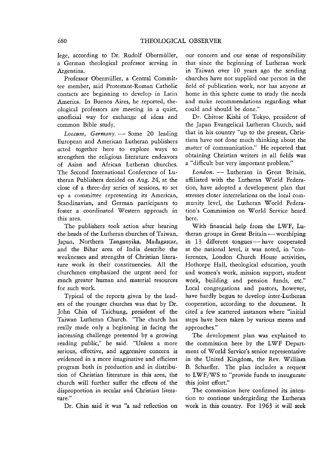lege, according to Dr. Rudolf Obermiiller, a German theological professor serving in Argentina.

Professor Obermiiller, a Central Committee member, said Protestant-Roman Catholic contacts are beginning to develop in Latin America. In Buenos Aires, he reported, theological professors are meeting in a quiet, unofficial way for exchange of ideas and common Bible study.

Loccum, Germany. - Some 20 leading European and American Lutheran publishers acted together here to explore ways to strengthen the religious literature endeavors of Asian and African Lutheran churches. The Second International Conference of Lutheran Publishers decided on Aug. 24, at the close of a three-day series of sessions, to set up a committee representing its American, Scandinavian, and German participants to foster a coordinated Western approach in this area.

The publishers took action after hearing the heads of the Lutheran churches of Taiwan, Japan, Northern Tanganyika, Madagascar, and the Bihar area of India describe the weaknesses and strengths of Christian literature work in their constituencies. All the churchmen emphasized the urgent need for much greater human and material resources for such work.

Typical of the reports given by the leaders of the younger churches was that by Dr. John Chin of Taichung, president of the Taiwan Lutheran Church. "The church has really made only a beginning in facing the increasing challenge presented by a growing reading public," he said. "Unless a more serious, effective, and aggressive concern is evidenced in a more imaginative and efficient program both in production and in distribution of Christian literature in this area, the church will further suffer the effects of the disproportion in secular and Christian literature."

Dr. Chin said it was "a sad reflection on

our concern and our sense of responsibility that since the beginning of Lutheran work in Taiwan over 10 years ago the sending churches have not supplied one person in the field of publication work, nor has anyone at home in this sphere come to study the needs and make recommendations regarding what could and should be done."

Dr. Chitose Kishi of Tokyo, president of the Japan Evangelical Lutheran Church, said that in his country "up to the present, Christians have not done much thinking about the matter of communication." He reported that obtaining Christian writers in all fields was a "difficult but very important problem."

London. - Lutherans in Great Britain, affiliated with the Lutheran WorId Federation, have adopted a development plan that stresses closer interrelations on the local community level, the Lutheran WorId Federation's Commission on World Service heard here.

With financial help from the LWF, Lutheran groups in Great Britain  $-$  worshiping in 13 different tongues - have cooperated at the national level, it was noted, in "conferences, London Church House activities, Hothorpe Hall, theological education, youth and women's work, mission support, student work, building and pension funds, etc." Local congregations and pastors, however, have hardly begun to develop inter-Lutheran cooperation, according to the document. It cited a few scattered instances where "initial steps have been taken by various means and approaches."

The development plan was explained to the commission here by the LWF Department of World Service's senior representative in the United Kingdom, the Rev. William B. Schaeffer. The plan includes a request to LWF/WS to "provide funds to inaugurate this joint effort."

The commission here confirmed its intention to continue undergirding the Lutheran work in this country. For 1963 it will seek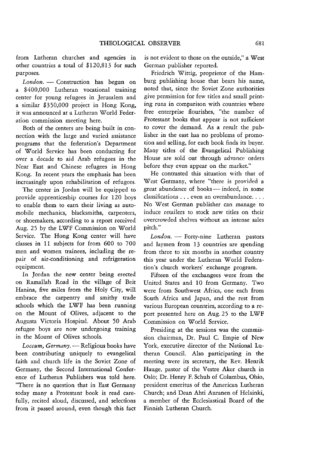from Lutheran churches and agencies in other countries a total of \$120,813 for such purposes.

*London.* - Construction has begun on a \$400,000 Lutheran vocational training center for young refugees in Jerusalem and a similar \$350,000 project in Hong Kong, it was announced at a Lutheran World Federation commission meeting here.

Both of the centers are being built in connection with the large and varied assistance programs that the federation's Department of \V orId Service has been conducting for over a decade to aid Arab refugees in the Near East and Chinese refugees in Hong Kong. In recent years the emphasis has been increasingly upon rehabilitation of refugees.

The center in Jordan will be equipped to provide apprenticeship courses for 120 boys to enable them to earn their living as automobile mechanics, blacksmiths, carpenters, or shoemakers, according to a report received Aug. 25 by the LWF Commission on World Service. The Hong Kong center will have classes in 11 subjects for from 600 to 700 men and women trainees, including the repair of air-conditioning and refrigeration equipment.

In Jordan the new center being erected on Ramallah Road in the village of Beit Hanina, five miles from the Holy City, will embrace the carpentry and smithy trade schools which the LWF has been running on the Mount of Olives, adjacent to the Augusta Victoria Hospital. About 50 Arab refugee boys are now undergoing training in the Mount of Olives schools.

Loccum, Germany. - Religious books have been contributing uniquely to evangelical faith and church life in the Soviet Zone of Germany, the Second International Conference of Lutheran Publishers was told here. "There is no question that in East Germany today many a Protestant book is read carefully, recited aloud, discussed, and selections from it passed around, even though this fact is not evident to those on the outside," a West German publisher reported.

Friedrich Wittig, proprietor of the Hamburg publishing house that bears his name, noted that, since the Soviet Zone authorities give permission for few titles and small printing runs in comparison with countries where free enterprise flourishes, "the number of Protestant books that appear is not sufficient to cover the demand. As a result the publisher in the east has no problems of promotion and selling, for each book finds its buyer. Many titles of the Evangelical Publishing House are sold out through advance orders before they even appear on the market."

He contrasted this situation with that of West Germany, where "there is provided a great abundance of books - indeed, in some classifications . . . even an overabundance. . . . No West German publisher can manage to induce retailers to stock new titles on their overcrowded shelves without an intense sales pitch."

London. - Forty-nine Lutheran pastors and laymen from 13 countries are spending from three to six months in another country this year under the Lutheran World Federation's church workers' exchange program.

Fifteen of the exchangees were from the United States and 10 from Germany. Two were from Southwest Africa, one each from South Africa and Japan, and the rest from various European countries, according to a report presented here on Aug. 25 to the LWF Commission on World Service.

Presiding at the sessions was the commission chairman, Dr. Paul C. Empie of New York, executive director of the National Lutheran Council. Also participating in the meeting were its secretary, the Rev. Henrik Hauge, pastor of the Vestre Aker church in Oslo; Dr. Henry F. Schuh of Columbus, Ohio, president emeritus of the American Lutheran Church; and Dean Ahti Auranen of Helsinki, a member of the Ecclesiastical Board of the Finnish Lutheran Church.